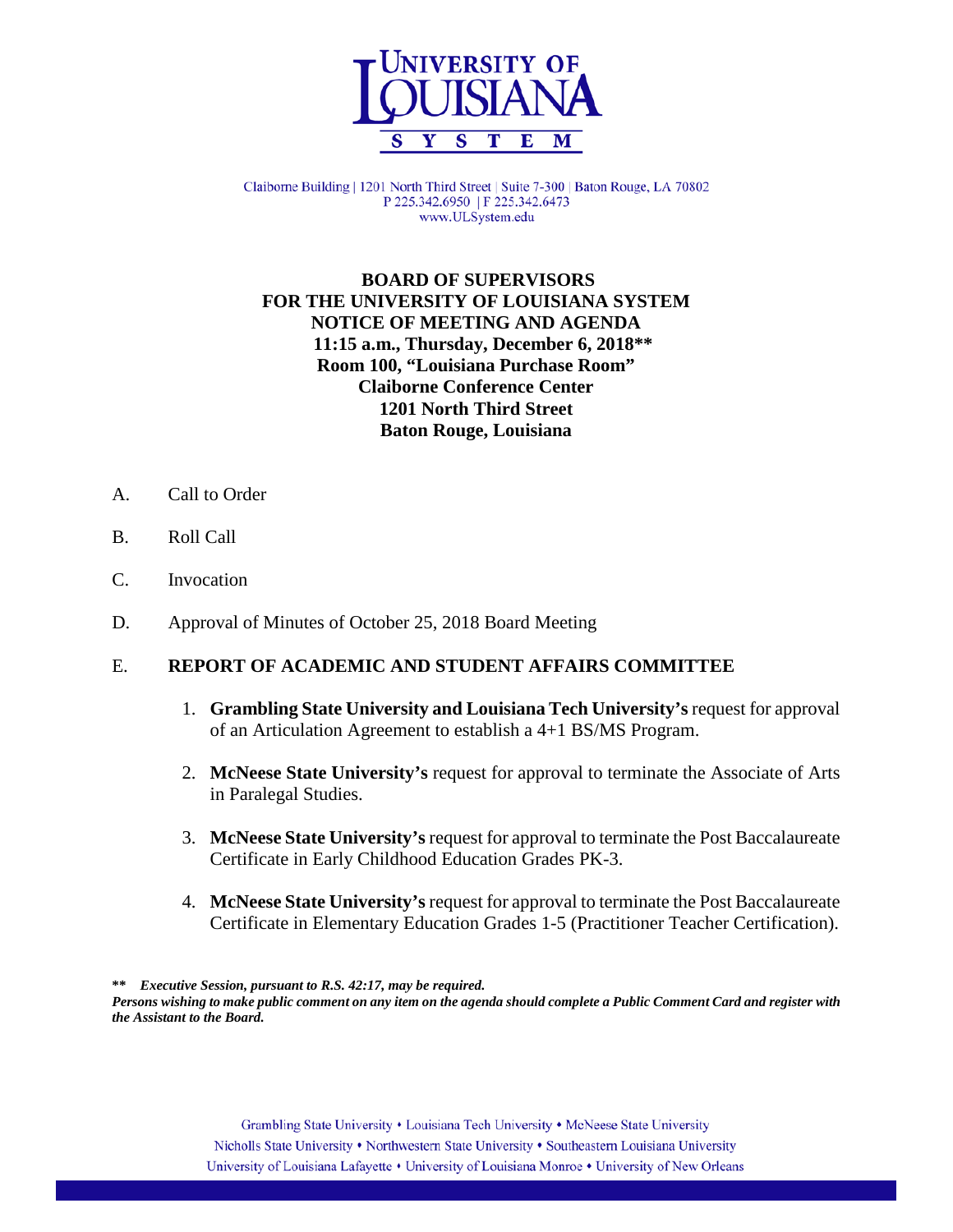

Claiborne Building | 1201 North Third Street | Suite 7-300 | Baton Rouge, LA 70802 P 225.342.6950 | F 225.342.6473 www.ULSystem.edu

#### **BOARD OF SUPERVISORS FOR THE UNIVERSITY OF LOUISIANA SYSTEM NOTICE OF MEETING AND AGENDA 11:15 a.m., Thursday, December 6, 2018\*\* Room 100, "Louisiana Purchase Room" Claiborne Conference Center 1201 North Third Street Baton Rouge, Louisiana**

- A. Call to Order
- B. Roll Call
- C. Invocation
- D. Approval of Minutes of October 25, 2018 Board Meeting

## E. **REPORT OF ACADEMIC AND STUDENT AFFAIRS COMMITTEE**

- 1. **Grambling State University and Louisiana Tech University's** request for approval of an Articulation Agreement to establish a 4+1 BS/MS Program.
- 2. **McNeese State University's** request for approval to terminate the Associate of Arts in Paralegal Studies.
- 3. **McNeese State University's**request for approval to terminate the Post Baccalaureate Certificate in Early Childhood Education Grades PK-3.
- 4. **McNeese State University's**request for approval to terminate the Post Baccalaureate Certificate in Elementary Education Grades 1-5 (Practitioner Teacher Certification).

**\*\*** *Executive Session, pursuant to R.S. 42:17, may be required.*

*Persons wishing to make public comment on any item on the agenda should complete a Public Comment Card and register with the Assistant to the Board.*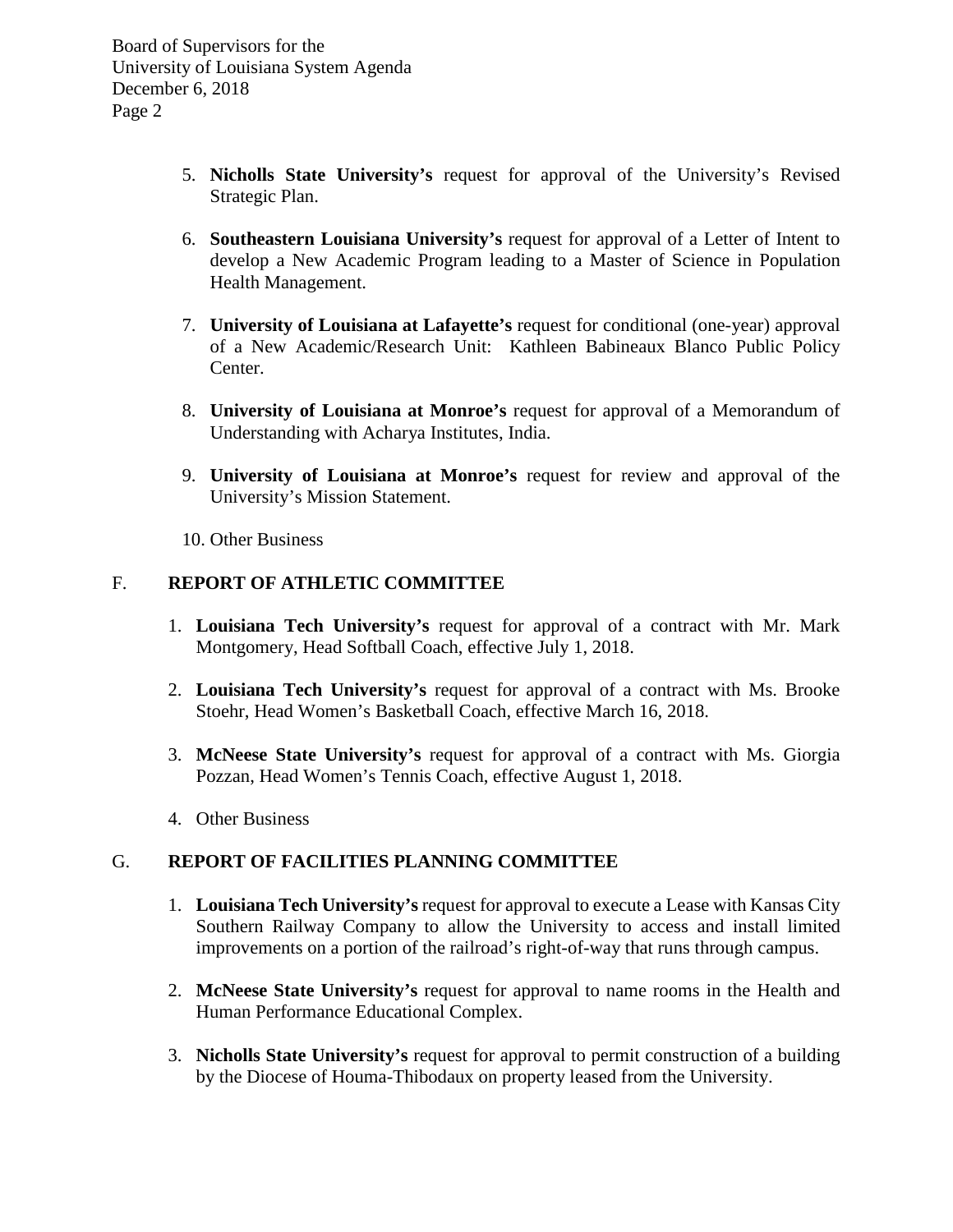Board of Supervisors for the University of Louisiana System Agenda December 6, 2018 Page 2

- 5. **Nicholls State University's** request for approval of the University's Revised Strategic Plan.
- 6. **Southeastern Louisiana University's** request for approval of a Letter of Intent to develop a New Academic Program leading to a Master of Science in Population Health Management.
- 7. **University of Louisiana at Lafayette's** request for conditional (one-year) approval of a New Academic/Research Unit: Kathleen Babineaux Blanco Public Policy Center.
- 8. **University of Louisiana at Monroe's** request for approval of a Memorandum of Understanding with Acharya Institutes, India.
- 9. **University of Louisiana at Monroe's** request for review and approval of the University's Mission Statement.
- 10. Other Business

## F. **REPORT OF ATHLETIC COMMITTEE**

- 1. **Louisiana Tech University's** request for approval of a contract with Mr. Mark Montgomery, Head Softball Coach, effective July 1, 2018.
- 2. **Louisiana Tech University's** request for approval of a contract with Ms. Brooke Stoehr, Head Women's Basketball Coach, effective March 16, 2018.
- 3. **McNeese State University's** request for approval of a contract with Ms. Giorgia Pozzan, Head Women's Tennis Coach, effective August 1, 2018.
- 4. Other Business

## G. **REPORT OF FACILITIES PLANNING COMMITTEE**

- 1. **Louisiana Tech University's** request for approval to execute a Lease with Kansas City Southern Railway Company to allow the University to access and install limited improvements on a portion of the railroad's right-of-way that runs through campus.
- 2. **McNeese State University's** request for approval to name rooms in the Health and Human Performance Educational Complex.
- 3. **Nicholls State University's** request for approval to permit construction of a building by the Diocese of Houma-Thibodaux on property leased from the University.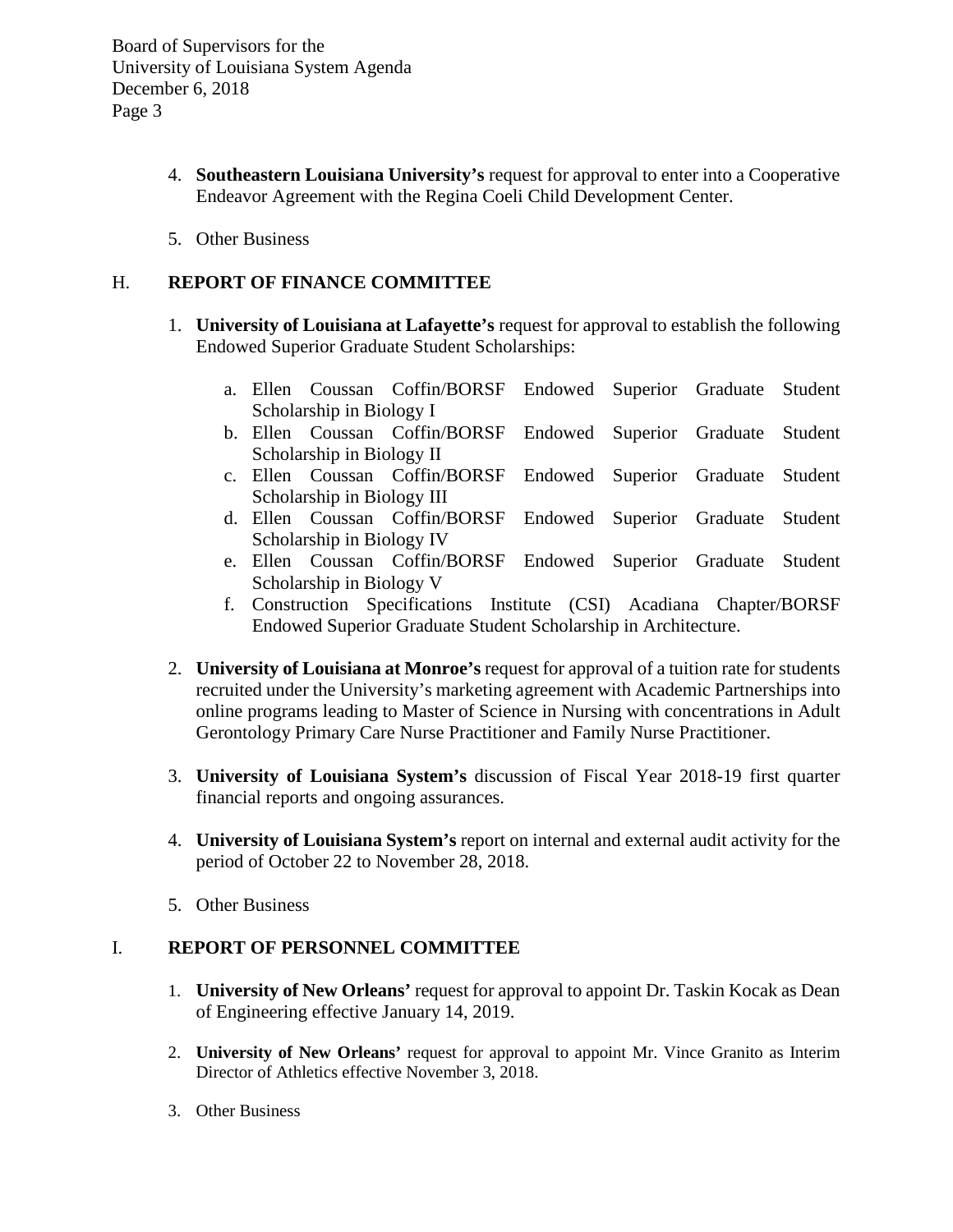Board of Supervisors for the University of Louisiana System Agenda December 6, 2018 Page 3

- 4. **Southeastern Louisiana University's** request for approval to enter into a Cooperative Endeavor Agreement with the Regina Coeli Child Development Center.
- 5. Other Business

## H. **REPORT OF FINANCE COMMITTEE**

- 1. **University of Louisiana at Lafayette's** request for approval to establish the following Endowed Superior Graduate Student Scholarships:
	- a. Ellen Coussan Coffin/BORSF Endowed Superior Graduate Student Scholarship in Biology I
	- b. Ellen Coussan Coffin/BORSF Endowed Superior Graduate Student Scholarship in Biology II
	- c. Ellen Coussan Coffin/BORSF Endowed Superior Graduate Student Scholarship in Biology III
	- d. Ellen Coussan Coffin/BORSF Endowed Superior Graduate Student Scholarship in Biology IV
	- e. Ellen Coussan Coffin/BORSF Endowed Superior Graduate Student Scholarship in Biology V
	- f. Construction Specifications Institute (CSI) Acadiana Chapter/BORSF Endowed Superior Graduate Student Scholarship in Architecture.
- 2. **University of Louisiana at Monroe's** request for approval of a tuition rate for students recruited under the University's marketing agreement with Academic Partnerships into online programs leading to Master of Science in Nursing with concentrations in Adult Gerontology Primary Care Nurse Practitioner and Family Nurse Practitioner.
- 3. **University of Louisiana System's** discussion of Fiscal Year 2018-19 first quarter financial reports and ongoing assurances.
- 4. **University of Louisiana System's** report on internal and external audit activity for the period of October 22 to November 28, 2018.
- 5. Other Business

#### I. **REPORT OF PERSONNEL COMMITTEE**

- 1. **University of New Orleans'** request for approval to appoint Dr. Taskin Kocak as Dean of Engineering effective January 14, 2019.
- 2. **University of New Orleans'** request for approval to appoint Mr. Vince Granito as Interim Director of Athletics effective November 3, 2018.
- 3. Other Business